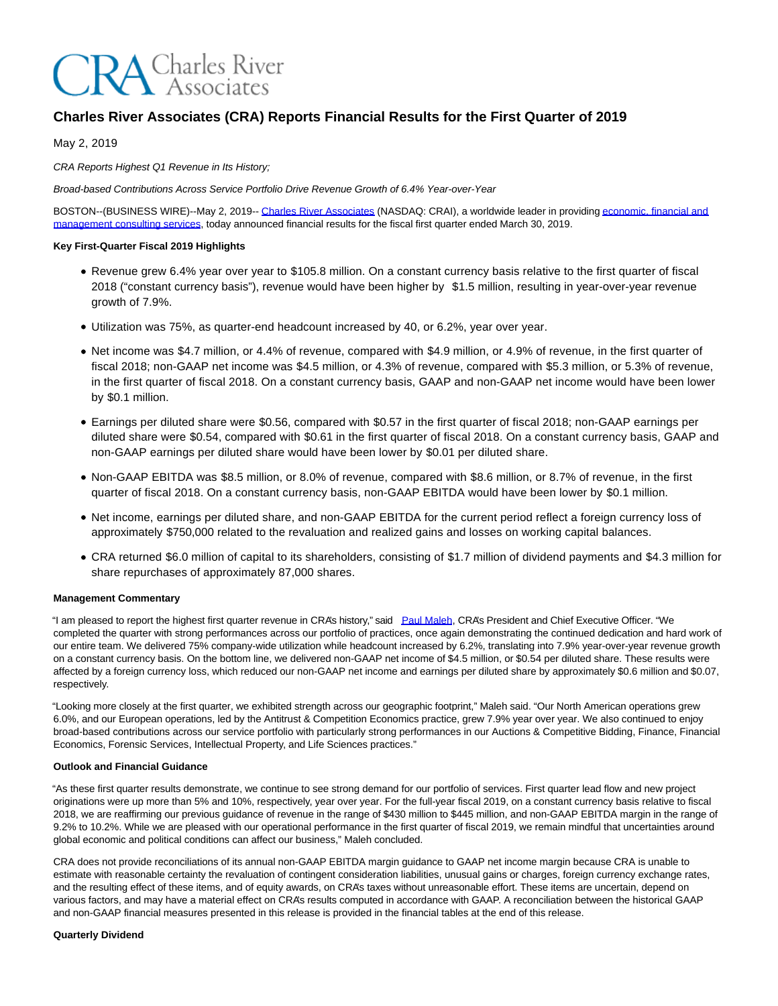# **CRA** Charles River

# **Charles River Associates (CRA) Reports Financial Results for the First Quarter of 2019**

## May 2, 2019

CRA Reports Highest Q1 Revenue in Its History;

Broad-based Contributions Across Service Portfolio Drive Revenue Growth of 6.4% Year-over-Year

BOSTON--(BUSINESS WIRE)--May 2, 2019-- [Charles River Associates \(](https://cts.businesswire.com/ct/CT?id=smartlink&url=http%3A%2F%2Fwww.crai.com%2FDefault.aspx&esheet=51978265&newsitemid=20190502005406&lan=en-US&anchor=Charles+River+Associates&index=1&md5=df711bb6d1b5483090bc50a2e6341322)NASDAQ: CRAI), a worldwide leader in providin[g economic, financial and](https://cts.businesswire.com/ct/CT?id=smartlink&url=http%3A%2F%2Fwww.crai.com%2F&esheet=51978265&newsitemid=20190502005406&lan=en-US&anchor=economic%2C+financial+and+management+consulting+services&index=2&md5=455618c3c2c6e3beb4599d117c779d32) management consulting services, today announced financial results for the fiscal first quarter ended March 30, 2019.

### **Key First-Quarter Fiscal 2019 Highlights**

- Revenue grew 6.4% year over year to \$105.8 million. On a constant currency basis relative to the first quarter of fiscal 2018 ("constant currency basis"), revenue would have been higher by \$1.5 million, resulting in year-over-year revenue growth of 7.9%.
- Utilization was 75%, as quarter-end headcount increased by 40, or 6.2%, year over year.
- Net income was \$4.7 million, or 4.4% of revenue, compared with \$4.9 million, or 4.9% of revenue, in the first quarter of fiscal 2018; non-GAAP net income was \$4.5 million, or 4.3% of revenue, compared with \$5.3 million, or 5.3% of revenue, in the first quarter of fiscal 2018. On a constant currency basis, GAAP and non-GAAP net income would have been lower by \$0.1 million.
- Earnings per diluted share were \$0.56, compared with \$0.57 in the first quarter of fiscal 2018; non-GAAP earnings per diluted share were \$0.54, compared with \$0.61 in the first quarter of fiscal 2018. On a constant currency basis, GAAP and non-GAAP earnings per diluted share would have been lower by \$0.01 per diluted share.
- Non-GAAP EBITDA was \$8.5 million, or 8.0% of revenue, compared with \$8.6 million, or 8.7% of revenue, in the first quarter of fiscal 2018. On a constant currency basis, non-GAAP EBITDA would have been lower by \$0.1 million.
- Net income, earnings per diluted share, and non-GAAP EBITDA for the current period reflect a foreign currency loss of approximately \$750,000 related to the revaluation and realized gains and losses on working capital balances.
- CRA returned \$6.0 million of capital to its shareholders, consisting of \$1.7 million of dividend payments and \$4.3 million for share repurchases of approximately 87,000 shares.

#### **Management Commentary**

"I am pleased to report the highest first quarter revenue in CRA's history," said [Paul Maleh,](https://cts.businesswire.com/ct/CT?id=smartlink&url=http%3A%2F%2Fwww.crai.com%2Fexpert%2Fpaul-maleh&esheet=51978265&newsitemid=20190502005406&lan=en-US&anchor=Paul+Maleh&index=3&md5=8603a970af758b0c35dab1a67b085fb5) CRA's President and Chief Executive Officer. "We completed the quarter with strong performances across our portfolio of practices, once again demonstrating the continued dedication and hard work of our entire team. We delivered 75% company-wide utilization while headcount increased by 6.2%, translating into 7.9% year-over-year revenue growth on a constant currency basis. On the bottom line, we delivered non-GAAP net income of \$4.5 million, or \$0.54 per diluted share. These results were affected by a foreign currency loss, which reduced our non-GAAP net income and earnings per diluted share by approximately \$0.6 million and \$0.07, respectively.

"Looking more closely at the first quarter, we exhibited strength across our geographic footprint," Maleh said. "Our North American operations grew 6.0%, and our European operations, led by the Antitrust & Competition Economics practice, grew 7.9% year over year. We also continued to enjoy broad-based contributions across our service portfolio with particularly strong performances in our Auctions & Competitive Bidding, Finance, Financial Economics, Forensic Services, Intellectual Property, and Life Sciences practices."

#### **Outlook and Financial Guidance**

"As these first quarter results demonstrate, we continue to see strong demand for our portfolio of services. First quarter lead flow and new project originations were up more than 5% and 10%, respectively, year over year. For the full-year fiscal 2019, on a constant currency basis relative to fiscal 2018, we are reaffirming our previous guidance of revenue in the range of \$430 million to \$445 million, and non-GAAP EBITDA margin in the range of 9.2% to 10.2%. While we are pleased with our operational performance in the first quarter of fiscal 2019, we remain mindful that uncertainties around global economic and political conditions can affect our business," Maleh concluded.

CRA does not provide reconciliations of its annual non-GAAP EBITDA margin guidance to GAAP net income margin because CRA is unable to estimate with reasonable certainty the revaluation of contingent consideration liabilities, unusual gains or charges, foreign currency exchange rates, and the resulting effect of these items, and of equity awards, on CRA's taxes without unreasonable effort. These items are uncertain, depend on various factors, and may have a material effect on CRA's results computed in accordance with GAAP. A reconciliation between the historical GAAP and non-GAAP financial measures presented in this release is provided in the financial tables at the end of this release.

#### **Quarterly Dividend**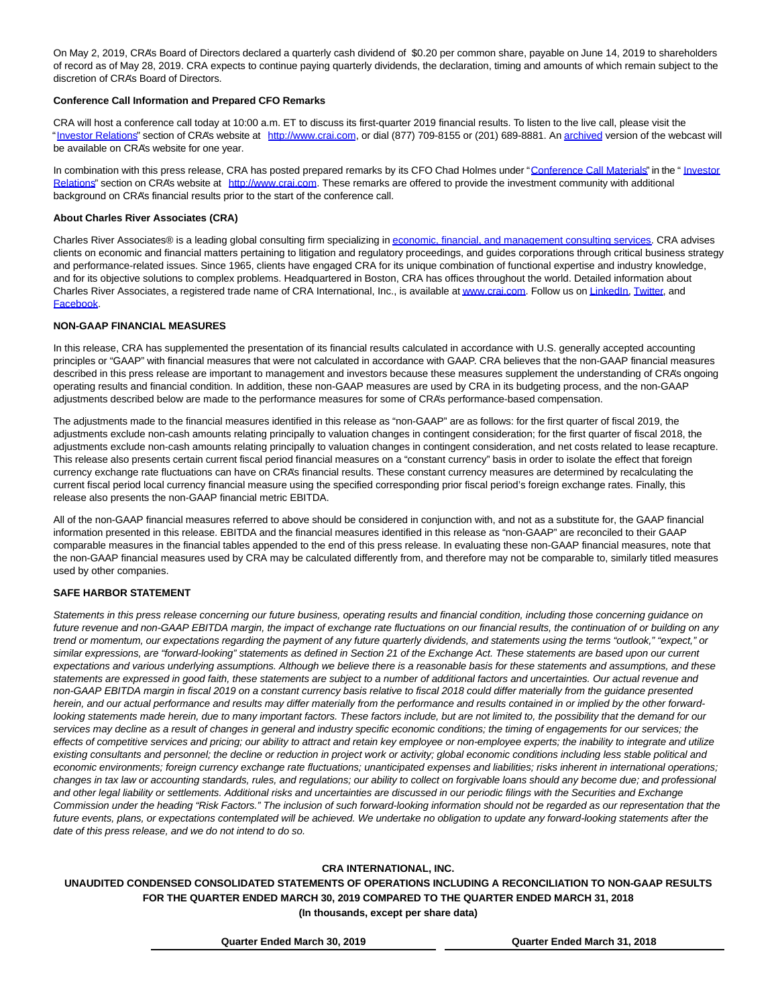On May 2, 2019, CRA's Board of Directors declared a quarterly cash dividend of \$0.20 per common share, payable on June 14, 2019 to shareholders of record as of May 28, 2019. CRA expects to continue paying quarterly dividends, the declaration, timing and amounts of which remain subject to the discretion of CRA's Board of Directors.

#### **Conference Call Information and Prepared CFO Remarks**

CRA will host a conference call today at 10:00 a.m. ET to discuss its first-quarter 2019 financial results. To listen to the live call, please visit the ["Investor Relations"](https://cts.businesswire.com/ct/CT?id=smartlink&url=https%3A%2F%2Fcrainternationalinc.gcs-web.com%2Finvestor-overview&esheet=51978265&newsitemid=20190502005406&lan=en-US&anchor=Investor+Relations&index=4&md5=b41a9494642a32a6d27eec4d5314d97e) section of CRA's website at [http://www.crai.com,](https://cts.businesswire.com/ct/CT?id=smartlink&url=http%3A%2F%2Fwww.crai.com%2FDefault.aspx&esheet=51978265&newsitemid=20190502005406&lan=en-US&anchor=http%3A%2F%2Fwww.crai.com&index=5&md5=dda71ddccc247734c406e498b31cb9c2) or dial (877) 709-8155 or (201) 689-8881. A[n archived v](https://cts.businesswire.com/ct/CT?id=smartlink&url=https%3A%2F%2Fcrainternationalinc.gcs-web.com%2Fevents-and-presentations%2Fpast-event&esheet=51978265&newsitemid=20190502005406&lan=en-US&anchor=archived&index=6&md5=324e3c6ece06dca79392480728af1988)ersion of the webcast will be available on CRA's website for one year.

In combination with this press release, CRA has posted prepared remarks by its CFO Chad Holmes under ["Conference Call Materials"](https://cts.businesswire.com/ct/CT?id=smartlink&url=https%3A%2F%2Fcrainternationalinc.gcs-web.com%2Ffinancial-information%2Fquarterly-results&esheet=51978265&newsitemid=20190502005406&lan=en-US&anchor=Conference+Call+Materials&index=7&md5=5b02521d3adffafcee1402b1bcfaadd1) in the " [Investor](https://cts.businesswire.com/ct/CT?id=smartlink&url=https%3A%2F%2Fcrainternationalinc.gcs-web.com%2Finvestor-overview&esheet=51978265&newsitemid=20190502005406&lan=en-US&anchor=Investor+Relations&index=8&md5=4d201ca64468a4d824ebdc474ddaa86e) Relations" section on CRA's website at [http://www.crai.com.](https://cts.businesswire.com/ct/CT?id=smartlink&url=http%3A%2F%2Fwww.crai.com%2FDefault.aspx&esheet=51978265&newsitemid=20190502005406&lan=en-US&anchor=http%3A%2F%2Fwww.crai.com&index=9&md5=2a635f18963f5939d9a06ecd437d3dbb) These remarks are offered to provide the investment community with additional background on CRA's financial results prior to the start of the conference call.

#### **About Charles River Associates (CRA)**

Charles River Associates® is a leading global consulting firm specializing i[n economic, financial, and management consulting services.](https://cts.businesswire.com/ct/CT?id=smartlink&url=http%3A%2F%2Fwww.crai.com%2F&esheet=51978265&newsitemid=20190502005406&lan=en-US&anchor=economic%2C+financial%2C+and+management+consulting+services&index=10&md5=90840cd5c64cc025b44ef32db7aebac9) CRA advises clients on economic and financial matters pertaining to litigation and regulatory proceedings, and guides corporations through critical business strategy and performance-related issues. Since 1965, clients have engaged CRA for its unique combination of functional expertise and industry knowledge, and for its objective solutions to complex problems. Headquartered in Boston, CRA has offices throughout the world. Detailed information about Charles River Associates, a registered trade name of CRA International, Inc., is available a[t www.crai.com.](https://cts.businesswire.com/ct/CT?id=smartlink&url=http%3A%2F%2Fwww.crai.com&esheet=51978265&newsitemid=20190502005406&lan=en-US&anchor=www.crai.com&index=11&md5=1d2702f0629eb69f5afdcfb5fbebeec9) Follow us o[n LinkedIn,](https://cts.businesswire.com/ct/CT?id=smartlink&url=https%3A%2F%2Fwww.linkedin.com%2Fcompany%2Fcharles-river-associates&esheet=51978265&newsitemid=20190502005406&lan=en-US&anchor=LinkedIn&index=12&md5=6712a2ce198bdcf8d625cfee9482a7da) [Twitter,](https://cts.businesswire.com/ct/CT?id=smartlink&url=https%3A%2F%2Ftwitter.com%2FNews_CRA&esheet=51978265&newsitemid=20190502005406&lan=en-US&anchor=Twitter&index=13&md5=ec9b5b57e37ed084b3d367f44ecc2bcc) and [Facebook.](https://cts.businesswire.com/ct/CT?id=smartlink&url=https%3A%2F%2Fwww.facebook.com%2FCharlesRiverAssociates&esheet=51978265&newsitemid=20190502005406&lan=en-US&anchor=Facebook&index=14&md5=d5f2609f11146ccdcbd504876cb055d1)

#### **NON-GAAP FINANCIAL MEASURES**

In this release, CRA has supplemented the presentation of its financial results calculated in accordance with U.S. generally accepted accounting principles or "GAAP" with financial measures that were not calculated in accordance with GAAP. CRA believes that the non-GAAP financial measures described in this press release are important to management and investors because these measures supplement the understanding of CRA's ongoing operating results and financial condition. In addition, these non-GAAP measures are used by CRA in its budgeting process, and the non-GAAP adjustments described below are made to the performance measures for some of CRA's performance-based compensation.

The adjustments made to the financial measures identified in this release as "non-GAAP" are as follows: for the first quarter of fiscal 2019, the adjustments exclude non-cash amounts relating principally to valuation changes in contingent consideration; for the first quarter of fiscal 2018, the adjustments exclude non-cash amounts relating principally to valuation changes in contingent consideration, and net costs related to lease recapture. This release also presents certain current fiscal period financial measures on a "constant currency" basis in order to isolate the effect that foreign currency exchange rate fluctuations can have on CRA's financial results. These constant currency measures are determined by recalculating the current fiscal period local currency financial measure using the specified corresponding prior fiscal period's foreign exchange rates. Finally, this release also presents the non-GAAP financial metric EBITDA.

All of the non-GAAP financial measures referred to above should be considered in conjunction with, and not as a substitute for, the GAAP financial information presented in this release. EBITDA and the financial measures identified in this release as "non-GAAP" are reconciled to their GAAP comparable measures in the financial tables appended to the end of this press release. In evaluating these non-GAAP financial measures, note that the non-GAAP financial measures used by CRA may be calculated differently from, and therefore may not be comparable to, similarly titled measures used by other companies.

#### **SAFE HARBOR STATEMENT**

Statements in this press release concerning our future business, operating results and financial condition, including those concerning guidance on future revenue and non-GAAP EBITDA margin, the impact of exchange rate fluctuations on our financial results, the continuation of or building on any trend or momentum, our expectations regarding the payment of any future quarterly dividends, and statements using the terms "outlook," "expect," or similar expressions, are "forward-looking" statements as defined in Section 21 of the Exchange Act. These statements are based upon our current expectations and various underlying assumptions. Although we believe there is a reasonable basis for these statements and assumptions, and these statements are expressed in good faith, these statements are subject to a number of additional factors and uncertainties. Our actual revenue and non-GAAP EBITDA margin in fiscal 2019 on a constant currency basis relative to fiscal 2018 could differ materially from the guidance presented herein, and our actual performance and results may differ materially from the performance and results contained in or implied by the other forwardlooking statements made herein, due to many important factors. These factors include, but are not limited to, the possibility that the demand for our services may decline as a result of changes in general and industry specific economic conditions; the timing of engagements for our services; the effects of competitive services and pricing; our ability to attract and retain key employee or non-employee experts; the inability to integrate and utilize existing consultants and personnel; the decline or reduction in project work or activity; global economic conditions including less stable political and economic environments; foreign currency exchange rate fluctuations; unanticipated expenses and liabilities; risks inherent in international operations; changes in tax law or accounting standards, rules, and regulations; our ability to collect on forgivable loans should any become due; and professional and other legal liability or settlements. Additional risks and uncertainties are discussed in our periodic filings with the Securities and Exchange Commission under the heading "Risk Factors." The inclusion of such forward-looking information should not be regarded as our representation that the future events, plans, or expectations contemplated will be achieved. We undertake no obligation to update any forward-looking statements after the date of this press release, and we do not intend to do so.

#### **CRA INTERNATIONAL, INC.**

**UNAUDITED CONDENSED CONSOLIDATED STATEMENTS OF OPERATIONS INCLUDING A RECONCILIATION TO NON-GAAP RESULTS FOR THE QUARTER ENDED MARCH 30, 2019 COMPARED TO THE QUARTER ENDED MARCH 31, 2018**

**(In thousands, except per share data)**

**Quarter Ended March 30, 2019 Quarter Ended March 31, 2018**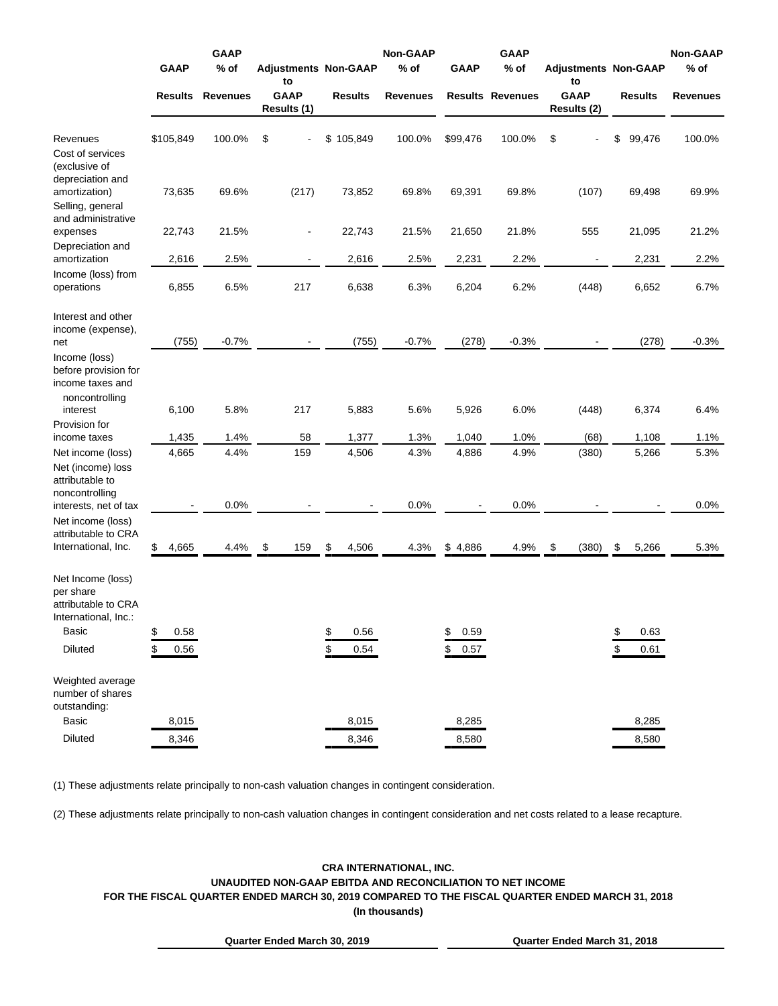|                                                                               |                       | <b>GAAP</b>     |                                   |                | Non-GAAP        |             | <b>GAAP</b>             |                                   |                | <b>Non-GAAP</b> |
|-------------------------------------------------------------------------------|-----------------------|-----------------|-----------------------------------|----------------|-----------------|-------------|-------------------------|-----------------------------------|----------------|-----------------|
|                                                                               | <b>GAAP</b><br>$%$ of |                 | <b>Adjustments Non-GAAP</b><br>to |                | $%$ of          | <b>GAAP</b> | $%$ of                  | <b>Adjustments Non-GAAP</b><br>to |                | $%$ of          |
|                                                                               | <b>Results</b>        | <b>Revenues</b> | <b>GAAP</b><br>Results (1)        | <b>Results</b> | <b>Revenues</b> |             | <b>Results Revenues</b> | <b>GAAP</b><br>Results (2)        | <b>Results</b> | <b>Revenues</b> |
| Revenues<br>Cost of services<br>(exclusive of                                 | \$105,849             | 100.0%          | \$                                | \$105,849      | 100.0%          | \$99,476    | 100.0%                  | \$                                | 99,476<br>\$   | 100.0%          |
| depreciation and<br>amortization)<br>Selling, general<br>and administrative   | 73,635                | 69.6%           | (217)                             | 73,852         | 69.8%           | 69,391      | 69.8%                   | (107)                             | 69,498         | 69.9%           |
| expenses<br>Depreciation and                                                  | 22,743                | 21.5%           |                                   | 22,743         | 21.5%           | 21,650      | 21.8%                   | 555                               | 21,095         | 21.2%           |
| amortization                                                                  | 2,616                 | 2.5%            | $\overline{a}$                    | 2,616          | 2.5%            | 2,231       | 2.2%                    |                                   | 2,231          | 2.2%            |
| Income (loss) from<br>operations                                              | 6,855                 | 6.5%            | 217                               | 6,638          | 6.3%            | 6,204       | 6.2%                    | (448)                             | 6,652          | 6.7%            |
| Interest and other<br>income (expense),<br>net                                | (755)                 | $-0.7%$         |                                   | (755)          | $-0.7%$         | (278)       | $-0.3%$                 |                                   | (278)          | $-0.3%$         |
| Income (loss)<br>before provision for<br>income taxes and                     |                       |                 |                                   |                |                 |             |                         |                                   |                |                 |
| noncontrolling<br>interest                                                    | 6,100                 | 5.8%            | 217                               | 5,883          | 5.6%            | 5,926       | 6.0%                    | (448)                             | 6,374          | 6.4%            |
| Provision for<br>income taxes                                                 | 1,435                 | 1.4%            | 58                                | 1,377          | 1.3%            | 1,040       | 1.0%                    | (68)                              | 1,108          | 1.1%            |
| Net income (loss)                                                             | 4,665                 | 4.4%            | 159                               | 4,506          | 4.3%            | 4,886       | 4.9%                    | (380)                             | 5,266          | 5.3%            |
| Net (income) loss<br>attributable to<br>noncontrolling                        |                       |                 |                                   |                |                 |             |                         |                                   |                |                 |
| interests, net of tax<br>Net income (loss)                                    | $\blacksquare$        | 0.0%            |                                   |                | 0.0%            |             | 0.0%                    |                                   |                | 0.0%            |
| attributable to CRA<br>International, Inc.                                    | 4,665<br>\$           | 4.4%            | \$<br>159                         | \$<br>4,506    | 4.3%            | \$4,886     | 4.9%                    | \$<br>(380)                       | 5,266<br>\$    | 5.3%            |
| Net Income (loss)<br>per share<br>attributable to CRA<br>International, Inc.: |                       |                 |                                   |                |                 |             |                         |                                   |                |                 |
| Basic                                                                         | \$<br>0.58            |                 |                                   | \$<br>0.56     |                 | \$<br>0.59  |                         |                                   | \$<br>0.63     |                 |
| Diluted                                                                       | \$<br>0.56            |                 |                                   | \$<br>0.54     |                 | 0.57<br>\$  |                         |                                   | \$<br>0.61     |                 |
| Weighted average<br>number of shares<br>outstanding:                          |                       |                 |                                   |                |                 |             |                         |                                   |                |                 |
| Basic                                                                         | 8,015                 |                 |                                   | 8,015          |                 | 8,285       |                         |                                   | 8,285          |                 |
| Diluted                                                                       | 8,346                 |                 |                                   | 8,346          |                 | 8,580       |                         |                                   | 8,580          |                 |

(1) These adjustments relate principally to non-cash valuation changes in contingent consideration.

(2) These adjustments relate principally to non-cash valuation changes in contingent consideration and net costs related to a lease recapture.

# **CRA INTERNATIONAL, INC. UNAUDITED NON-GAAP EBITDA AND RECONCILIATION TO NET INCOME FOR THE FISCAL QUARTER ENDED MARCH 30, 2019 COMPARED TO THE FISCAL QUARTER ENDED MARCH 31, 2018 (In thousands)**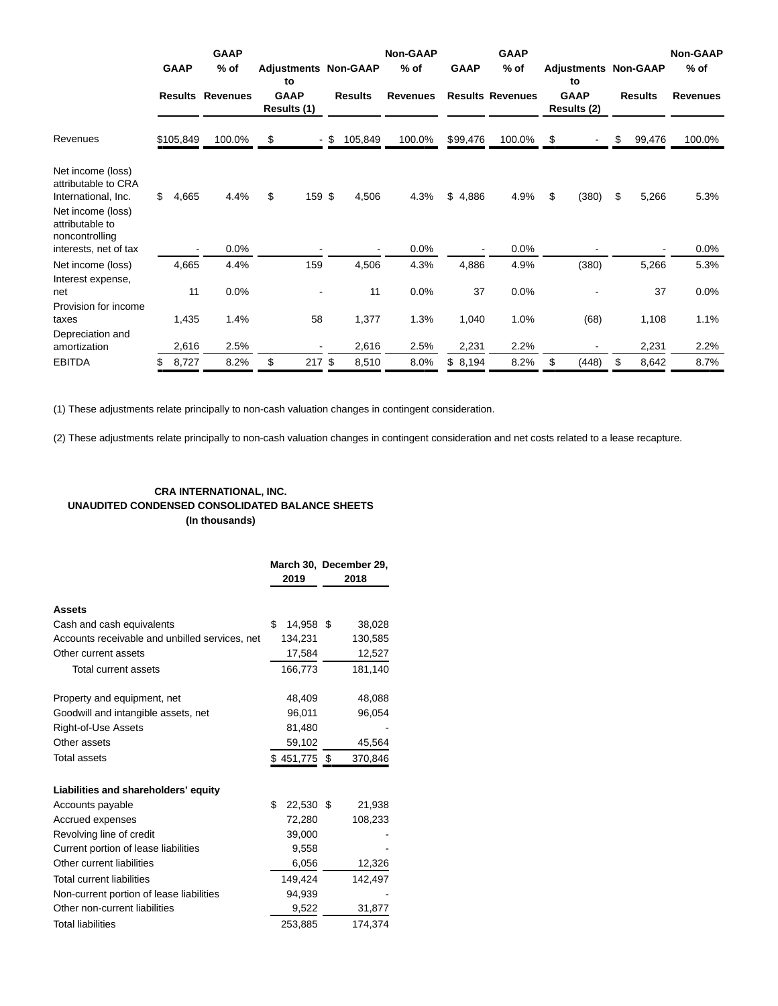|                                                                                                                           |             | <b>GAAP</b>             |                            |      |                             | <b>Non-GAAP</b> |             | <b>GAAP</b>             |                                   |                | <b>Non-GAAP</b> |
|---------------------------------------------------------------------------------------------------------------------------|-------------|-------------------------|----------------------------|------|-----------------------------|-----------------|-------------|-------------------------|-----------------------------------|----------------|-----------------|
|                                                                                                                           | <b>GAAP</b> | $%$ of                  | to                         |      | <b>Adjustments Non-GAAP</b> | % of            | <b>GAAP</b> | $%$ of                  | <b>Adjustments Non-GAAP</b><br>to |                | $%$ of          |
|                                                                                                                           |             | <b>Results Revenues</b> | <b>GAAP</b><br>Results (1) |      | <b>Results</b>              | <b>Revenues</b> |             | <b>Results Revenues</b> | <b>GAAP</b><br>Results (2)        | <b>Results</b> | <b>Revenues</b> |
| Revenues                                                                                                                  | \$105,849   | 100.0%                  | \$                         | - \$ | 105,849                     | 100.0%          | \$99,476    | 100.0%                  | \$                                | \$<br>99,476   | 100.0%          |
| Net income (loss)<br>attributable to CRA<br>International, Inc.<br>Net income (loss)<br>attributable to<br>noncontrolling | \$<br>4,665 | 4.4%                    | \$<br>159 \$               |      | 4,506                       | 4.3%            | \$4,886     | 4.9%                    | \$<br>(380)                       | \$<br>5,266    | 5.3%            |
| interests, net of tax                                                                                                     |             | 0.0%                    |                            |      |                             | 0.0%            |             | 0.0%                    |                                   |                | $0.0\%$         |
| Net income (loss)<br>Interest expense,                                                                                    | 4,665       | 4.4%                    | 159                        |      | 4,506                       | 4.3%            | 4,886       | 4.9%                    | (380)                             | 5,266          | 5.3%            |
| net<br>Provision for income                                                                                               | 11          | 0.0%                    |                            |      | 11                          | 0.0%            | 37          | 0.0%                    |                                   | 37             | $0.0\%$         |
| taxes<br>Depreciation and                                                                                                 | 1,435       | 1.4%                    | 58                         |      | 1,377                       | 1.3%            | 1,040       | 1.0%                    | (68)                              | 1,108          | 1.1%            |
| amortization                                                                                                              | 2,616       | 2.5%                    |                            |      | 2,616                       | 2.5%            | 2,231       | 2.2%                    |                                   | 2,231          | $2.2\%$         |
| <b>EBITDA</b>                                                                                                             | 8,727       | 8.2%                    | \$<br>217S                 |      | 8,510                       | 8.0%            | \$8,194     | 8.2%                    | \$<br>(448)                       | \$<br>8,642    | 8.7%            |

(1) These adjustments relate principally to non-cash valuation changes in contingent consideration.

(2) These adjustments relate principally to non-cash valuation changes in contingent consideration and net costs related to a lease recapture.

# **CRA INTERNATIONAL, INC. UNAUDITED CONDENSED CONSOLIDATED BALANCE SHEETS (In thousands)**

|                                                | 2019            | March 30, December 29,<br>2018 |         |  |
|------------------------------------------------|-----------------|--------------------------------|---------|--|
|                                                |                 |                                |         |  |
| <b>Assets</b>                                  |                 |                                |         |  |
| Cash and cash equivalents                      | \$<br>14,958 \$ |                                | 38,028  |  |
| Accounts receivable and unbilled services, net | 134,231         |                                | 130,585 |  |
| Other current assets                           | 17,584          |                                | 12,527  |  |
| Total current assets                           | 166,773         |                                | 181,140 |  |
| Property and equipment, net                    | 48,409          |                                | 48,088  |  |
| Goodwill and intangible assets, net            | 96,011          |                                | 96,054  |  |
| Right-of-Use Assets                            | 81,480          |                                |         |  |
| Other assets                                   | 59,102          |                                | 45,564  |  |
| <b>Total assets</b>                            | $$451,775$ \$   |                                | 370,846 |  |
| Liabilities and shareholders' equity           |                 |                                |         |  |
| Accounts payable                               | \$<br>22,530 \$ |                                | 21,938  |  |
| Accrued expenses                               | 72,280          |                                | 108,233 |  |
| Revolving line of credit                       | 39,000          |                                |         |  |
| Current portion of lease liabilities           | 9,558           |                                |         |  |
| Other current liabilities                      | 6,056           |                                | 12,326  |  |
| <b>Total current liabilities</b>               | 149,424         |                                | 142,497 |  |
| Non-current portion of lease liabilities       | 94,939          |                                |         |  |
| Other non-current liabilities                  | 9,522           |                                | 31,877  |  |
| <b>Total liabilities</b>                       | 253,885         |                                | 174,374 |  |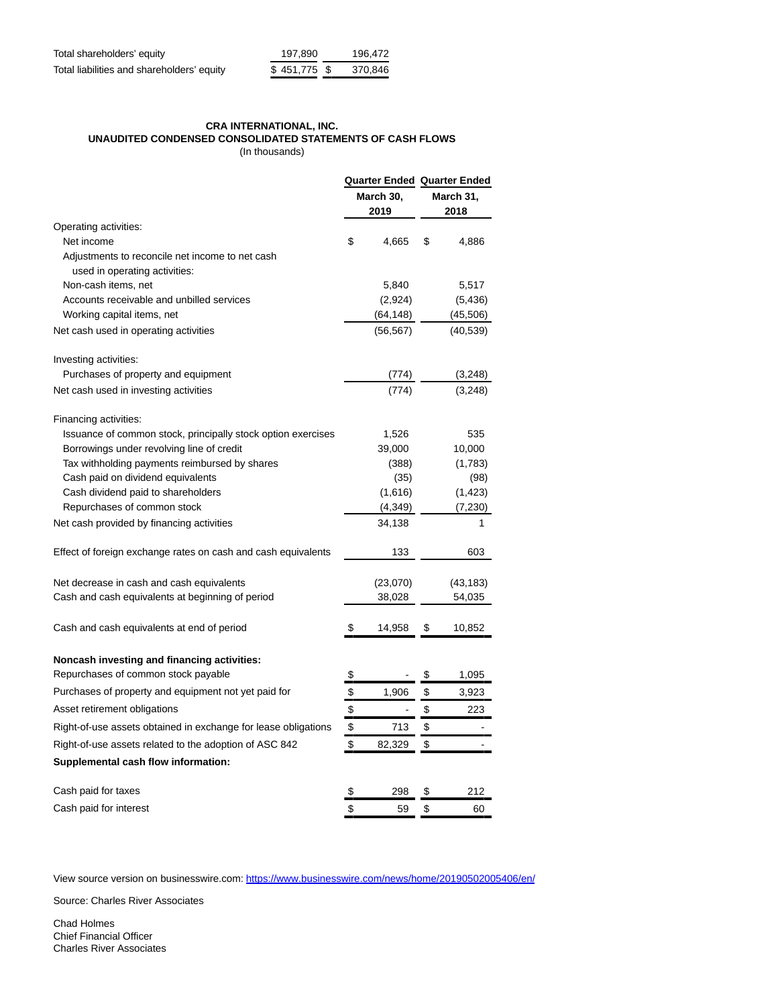| Total shareholders' equity                 | 197.890      | 196.472 |
|--------------------------------------------|--------------|---------|
| Total liabilities and shareholders' equity | \$451.775 \$ | 370,846 |

#### **CRA INTERNATIONAL, INC. UNAUDITED CONDENSED CONSOLIDATED STATEMENTS OF CASH FLOWS** (In thousands)

**Quarter Ended Quarter Ended March 30, March 31, 2019 2018** Operating activities: Net income \$ 4,665 \$ 4,886 Adjustments to reconcile net income to net cash used in operating activities: Non-cash items, net 5,840 5,517 Accounts receivable and unbilled services (2,924) (5,436) Working capital items, net (64,148) (45,506) Net cash used in operating activities (56,567) (40,539) Investing activities: Purchases of property and equipment (774) (3,248) Net cash used in investing activities (774) (3,248) Financing activities: Issuance of common stock, principally stock option exercises 1,526 535 Borrowings under revolving line of credit 39,000 10,000 Tax withholding payments reimbursed by shares (388) (1,783) Cash paid on dividend equivalents (35) (98) Cash dividend paid to shareholders (1,616) (1,616) (1,423) Repurchases of common stock (4,349) (7,230) Net cash provided by financing activities 34,138 Effect of foreign exchange rates on cash and cash equivalents 133 603 Net decrease in cash and cash equivalents (23,070) (43,183) Cash and cash equivalents at beginning of period 38,028 54,035 Cash and cash equivalents at end of period  $$ 14,958 $ 10,852$ **Noncash investing and financing activities:** Repurchases of common stock payable  $\qquad \qquad$  \$  $\qquad \qquad$  1,095 Purchases of property and equipment not yet paid for  $$ 1,906 $ 3,923$ Asset retirement obligations  $\qquad \qquad$  \$ - \$ 223 Right-of-use assets obtained in exchange for lease obligations \$ 713 \$ Right-of-use assets related to the adoption of ASC 842  $\qquad \qquad$  \$ 82,329 \$ **Supplemental cash flow information:** Cash paid for taxes **be a 212** by a 212 and 212 by a 212 and 212 Cash paid for interest the state of the state of the state of the state of the state of the state of the state o

View source version on businesswire.com:<https://www.businesswire.com/news/home/20190502005406/en/>

Source: Charles River Associates

Chad Holmes Chief Financial Officer Charles River Associates